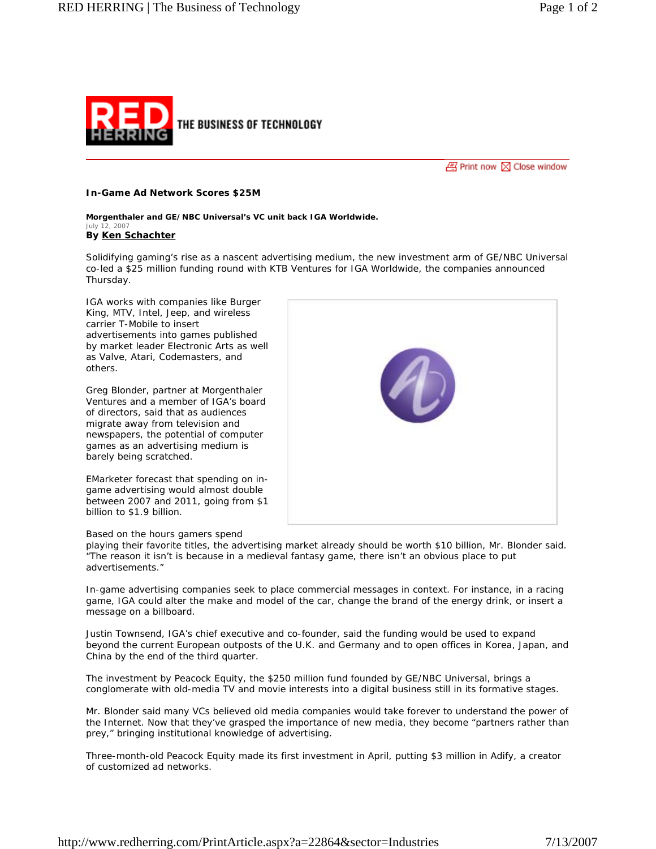

 $\sqrt{m}$  Print now  $\sqrt{m}$  Close window

## **In-Game Ad Network Scores \$25M**

*Morgenthaler and GE/NBC Universal's VC unit back IGA Worldwide. July 12, 2007* **By Ken Schachter**

Solidifying gaming's rise as a nascent advertising medium, the new investment arm of GE/NBC Universal co-led a \$25 million funding round with KTB Ventures for IGA Worldwide, the companies announced Thursday.

IGA works with companies like Burger King, MTV, Intel, Jeep, and wireless carrier T-Mobile to insert advertisements into games published by market leader Electronic Arts as well as Valve, Atari, Codemasters, and others.

Greg Blonder, partner at Morgenthaler Ventures and a member of IGA's board of directors, said that as audiences migrate away from television and newspapers, the potential of computer games as an advertising medium is barely being scratched.

EMarketer forecast that spending on ingame advertising would almost double between 2007 and 2011, going from \$1 billion to \$1.9 billion.

## Based on the hours gamers spend

playing their favorite titles, the advertising market already should be worth \$10 billion, Mr. Blonder said. "The reason it isn't is because in a medieval fantasy game, there isn't an obvious place to put advertisements."

In-game advertising companies seek to place commercial messages in context. For instance, in a racing game, IGA could alter the make and model of the car, change the brand of the energy drink, or insert a message on a billboard.

Justin Townsend, IGA's chief executive and co-founder, said the funding would be used to expand beyond the current European outposts of the U.K. and Germany and to open offices in Korea, Japan, and China by the end of the third quarter.

The investment by Peacock Equity, the \$250 million fund founded by GE/NBC Universal, brings a conglomerate with old-media TV and movie interests into a digital business still in its formative stages.

Mr. Blonder said many VCs believed old media companies would take forever to understand the power of the Internet. Now that they've grasped the importance of new media, they become "partners rather than prey," bringing institutional knowledge of advertising.

Three-month-old Peacock Equity made its first investment in April, putting \$3 million in Adify, a creator of customized ad networks.